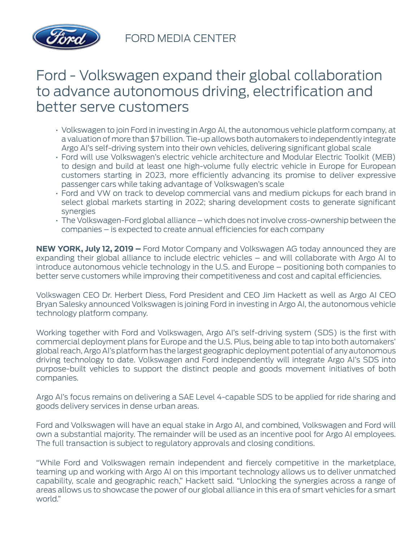

FORD MEDIA CENTER

# Ford - Volkswagen expand their global collaboration to advance autonomous driving, electrification and better serve customers

- Volkswagen to join Ford in investing in Argo AI, the autonomous vehicle platform company, at a valuation of more than \$7 billion. Tie-up allows both automakers to independently integrate Argo AI's self-driving system into their own vehicles, delivering significant global scale
- Ford will use Volkswagen's electric vehicle architecture and Modular Electric Toolkit (MEB) to design and build at least one high-volume fully electric vehicle in Europe for European customers starting in 2023, more efficiently advancing its promise to deliver expressive passenger cars while taking advantage of Volkswagen's scale
- Ford and VW on track to develop commercial vans and medium pickups for each brand in select global markets starting in 2022; sharing development costs to generate significant synergies
- The Volkswagen-Ford global alliance which does not involve cross-ownership between the companies – is expected to create annual efficiencies for each company

**NEW YORK, July 12, 2019 –** Ford Motor Company and Volkswagen AG today announced they are expanding their global alliance to include electric vehicles – and will collaborate with Argo AI to introduce autonomous vehicle technology in the U.S. and Europe – positioning both companies to better serve customers while improving their competitiveness and cost and capital efficiencies.

Volkswagen CEO Dr. Herbert Diess, Ford President and CEO Jim Hackett as well as Argo AI CEO Bryan Salesky announced Volkswagen is joining Ford in investing in Argo AI, the autonomous vehicle technology platform company.

Working together with Ford and Volkswagen, Argo AI's self-driving system (SDS) is the first with commercial deployment plans for Europe and the U.S. Plus, being able to tap into both automakers' global reach, Argo AI's platform has the largest geographic deployment potential of any autonomous driving technology to date. Volkswagen and Ford independently will integrate Argo AI's SDS into purpose-built vehicles to support the distinct people and goods movement initiatives of both companies.

Argo AI's focus remains on delivering a SAE Level 4-capable SDS to be applied for ride sharing and goods delivery services in dense urban areas.

Ford and Volkswagen will have an equal stake in Argo AI, and combined, Volkswagen and Ford will own a substantial majority. The remainder will be used as an incentive pool for Argo AI employees. The full transaction is subject to regulatory approvals and closing conditions.

"While Ford and Volkswagen remain independent and fiercely competitive in the marketplace, teaming up and working with Argo AI on this important technology allows us to deliver unmatched capability, scale and geographic reach," Hackett said. "Unlocking the synergies across a range of areas allows us to showcase the power of our global alliance in this era of smart vehicles for a smart world."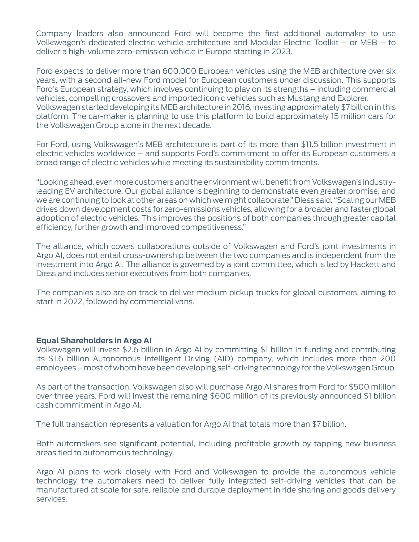Company leaders also announced Ford will become the first additional automaker to use Volkswagen's dedicated electric vehicle architecture and Modular Electric Toolkit – or MEB – to deliver a high-volume zero-emission vehicle in Europe starting in 2023.

Ford expects to deliver more than 600,000 European vehicles using the MEB architecture over six years, with a second all-new Ford model for European customers under discussion. This supports Ford's European strategy, which involves continuing to play on its strengths – including commercial vehicles, compelling crossovers and imported iconic vehicles such as Mustang and Explorer. Volkswagen started developing its MEB architecture in 2016, investing approximately \$7 billion in this platform. The car-maker is planning to use this platform to build approximately 15 million cars for the Volkswagen Group alone in the next decade.

For Ford, using Volkswagen's MEB architecture is part of its more than \$11.5 billion investment in electric vehicles worldwide – and supports Ford's commitment to offer its European customers a broad range of electric vehicles while meeting its sustainability commitments.

"Looking ahead, even more customers and the environment will benefit from Volkswagen's industryleading EV architecture. Our global alliance is beginning to demonstrate even greater promise, and we are continuing to look at other areas on which we might collaborate," Diess said. "Scaling our MEB drives down development costs for zero-emissions vehicles, allowing for a broader and faster global adoption of electric vehicles. This improves the positions of both companies through greater capital efficiency, further growth and improved competitiveness."

The alliance, which covers collaborations outside of Volkswagen and Ford's joint investments in Argo AI, does not entail cross-ownership between the two companies and is independent from the investment into Argo AI. The alliance is governed by a joint committee, which is led by Hackett and Diess and includes senior executives from both companies.

The companies also are on track to deliver medium pickup trucks for global customers, aiming to start in 2022, followed by commercial vans.

## **Equal Shareholders in Argo AI**

Volkswagen will invest \$2.6 billion in Argo AI by committing \$1 billion in funding and contributing its \$1.6 billion Autonomous Intelligent Driving (AID) company, which includes more than 200 employees – most of whom have been developing self-driving technology for the Volkswagen Group.

As part of the transaction, Volkswagen also will purchase Argo AI shares from Ford for \$500 million over three years. Ford will invest the remaining \$600 million of its previously announced \$1 billion cash commitment in Argo AI.

The full transaction represents a valuation for Argo AI that totals more than \$7 billion.

Both automakers see significant potential, including profitable growth by tapping new business areas tied to autonomous technology.

Argo AI plans to work closely with Ford and Volkswagen to provide the autonomous vehicle technology the automakers need to deliver fully integrated self-driving vehicles that can be manufactured at scale for safe, reliable and durable deployment in ride sharing and goods delivery services.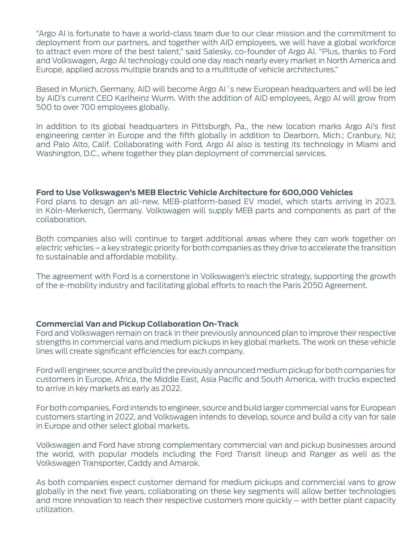"Argo AI is fortunate to have a world-class team due to our clear mission and the commitment to deployment from our partners, and together with AID employees, we will have a global workforce to attract even more of the best talent," said Salesky, co-founder of Argo AI. "Plus, thanks to Ford and Volkswagen, Argo AI technology could one day reach nearly every market in North America and Europe, applied across multiple brands and to a multitude of vehicle architectures."

Based in Munich, Germany, AID will become Argo AI´s new European headquarters and will be led by AID's current CEO Karlheinz Wurm. With the addition of AID employees, Argo AI will grow from 500 to over 700 employees globally.

In addition to its global headquarters in Pittsburgh, Pa., the new location marks Argo AI's first engineering center in Europe and the fifth globally in addition to Dearborn, Mich.; Cranbury, NJ; and Palo Alto, Calif. Collaborating with Ford, Argo AI also is testing its technology in Miami and Washington, D.C., where together they plan deployment of commercial services.

#### **Ford to Use Volkswagen's MEB Electric Vehicle Architecture for 600,000 Vehicles**

Ford plans to design an all-new, MEB-platform-based EV model, which starts arriving in 2023, in Köln-Merkenich, Germany. Volkswagen will supply MEB parts and components as part of the collaboration.

Both companies also will continue to target additional areas where they can work together on electric vehicles – a key strategic priority for both companies as they drive to accelerate the transition to sustainable and affordable mobility.

The agreement with Ford is a cornerstone in Volkswagen's electric strategy, supporting the growth of the e-mobility industry and facilitating global efforts to reach the Paris 2050 Agreement.

## **Commercial Van and Pickup Collaboration On-Track**

Ford and Volkswagen remain on track in their previously announced plan to improve their respective strengths in commercial vans and medium pickups in key global markets. The work on these vehicle lines will create significant efficiencies for each company.

Ford will engineer, source and build the previously announced medium pickup for both companies for customers in Europe, Africa, the Middle East, Asia Pacific and South America, with trucks expected to arrive in key markets as early as 2022.

For both companies, Ford intends to engineer, source and build larger commercial vans for European customers starting in 2022, and Volkswagen intends to develop, source and build a city van for sale in Europe and other select global markets.

Volkswagen and Ford have strong complementary commercial van and pickup businesses around the world, with popular models including the Ford Transit lineup and Ranger as well as the Volkswagen Transporter, Caddy and Amarok.

As both companies expect customer demand for medium pickups and commercial vans to grow globally in the next five years, collaborating on these key segments will allow better technologies and more innovation to reach their respective customers more quickly – with better plant capacity utilization.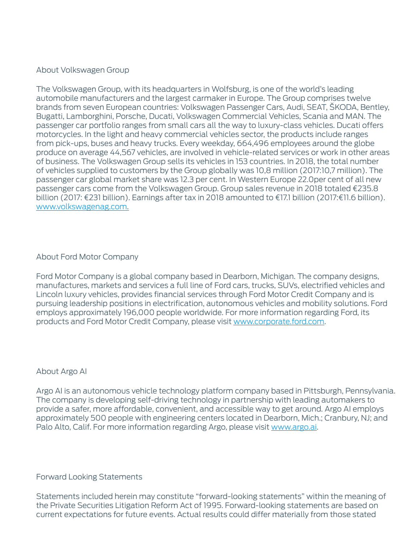## About Volkswagen Group

The Volkswagen Group, with its headquarters in Wolfsburg, is one of the world's leading automobile manufacturers and the largest carmaker in Europe. The Group comprises twelve brands from seven European countries: Volkswagen Passenger Cars, Audi, SEAT, ŠKODA, Bentley, Bugatti, Lamborghini, Porsche, Ducati, Volkswagen Commercial Vehicles, Scania and MAN. The passenger car portfolio ranges from small cars all the way to luxury-class vehicles. Ducati offers motorcycles. In the light and heavy commercial vehicles sector, the products include ranges from pick-ups, buses and heavy trucks. Every weekday, 664,496 employees around the globe produce on average 44,567 vehicles, are involved in vehicle-related services or work in other areas of business. The Volkswagen Group sells its vehicles in 153 countries. In 2018, the total number of vehicles supplied to customers by the Group globally was 10,8 million (2017:10,7 million). The passenger car global market share was 12.3 per cent. In Western Europe 22.0per cent of all new passenger cars come from the Volkswagen Group. Group sales revenue in 2018 totaled €235.8 billion (2017: €231 billion). Earnings after tax in 2018 amounted to €17.1 billion (2017:€11.6 billion). [www.volkswagenag.com.](http://www.volkswagenag.com/)

# About Ford Motor Company

Ford Motor Company is a global company based in Dearborn, Michigan. The company designs, manufactures, markets and services a full line of Ford cars, trucks, SUVs, electrified vehicles and Lincoln luxury vehicles, provides financial services through Ford Motor Credit Company and is pursuing leadership positions in electrification, autonomous vehicles and mobility solutions. Ford employs approximately 196,000 people worldwide. For more information regarding Ford, its products and Ford Motor Credit Company, please visit [www.corporate.ford.com](http://www.corporate.ford.com/).

# About Argo AI

Argo AI is an autonomous vehicle technology platform company based in Pittsburgh, Pennsylvania. The company is developing self-driving technology in partnership with leading automakers to provide a safer, more affordable, convenient, and accessible way to get around. Argo AI employs approximately 500 people with engineering centers located in Dearborn, Mich.; Cranbury, NJ; and Palo Alto, Calif. For more information regarding Argo, please visit [www.argo.ai.](http://www.argo.ai/)

## Forward Looking Statements

Statements included herein may constitute "forward-looking statements" within the meaning of the Private Securities Litigation Reform Act of 1995. Forward-looking statements are based on current expectations for future events. Actual results could differ materially from those stated